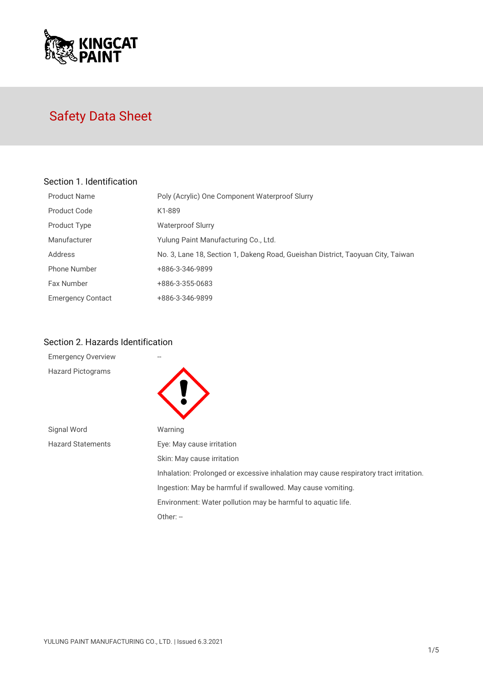

# Safety Data Sheet

### Section 1. Identification

| Product Name             | Poly (Acrylic) One Component Waterproof Slurry                                  |
|--------------------------|---------------------------------------------------------------------------------|
| Product Code             | K1-889                                                                          |
| Product Type             | <b>Waterproof Slurry</b>                                                        |
| Manufacturer             | Yulung Paint Manufacturing Co., Ltd.                                            |
| Address                  | No. 3, Lane 18, Section 1, Dakeng Road, Gueishan District, Taoyuan City, Taiwan |
| <b>Phone Number</b>      | +886-3-346-9899                                                                 |
| <b>Fax Number</b>        | +886-3-355-0683                                                                 |
| <b>Emergency Contact</b> | +886-3-346-9899                                                                 |

## Section 2. Hazards Identification

| <b>Emergency Overview</b> |                                                                                       |
|---------------------------|---------------------------------------------------------------------------------------|
| <b>Hazard Pictograms</b>  |                                                                                       |
| Signal Word               | Warning                                                                               |
| <b>Hazard Statements</b>  | Eye: May cause irritation                                                             |
|                           | Skin: May cause irritation                                                            |
|                           | Inhalation: Prolonged or excessive inhalation may cause respiratory tract irritation. |
|                           | Ingestion: May be harmful if swallowed. May cause vomiting.                           |
|                           | Environment: Water pollution may be harmful to aquatic life.                          |
|                           | Other: $-$                                                                            |
|                           |                                                                                       |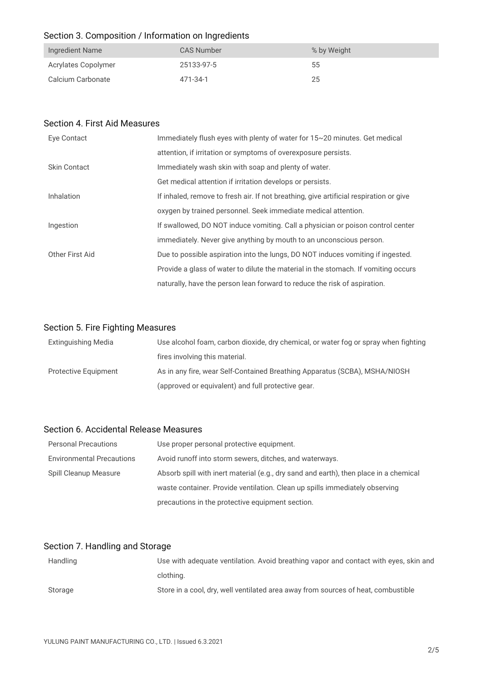## Section 3. Composition / Information on Ingredients

| Ingredient Name     | CAS Number | % by Weight |
|---------------------|------------|-------------|
| Acrylates Copolymer | 25133-97-5 | 55          |
| Calcium Carbonate   | 471-34-1   | 25          |

#### Section 4. First Aid Measures

| Eye Contact         | Immediately flush eyes with plenty of water for 15~20 minutes. Get medical             |
|---------------------|----------------------------------------------------------------------------------------|
|                     | attention, if irritation or symptoms of overexposure persists.                         |
| <b>Skin Contact</b> | Immediately wash skin with soap and plenty of water.                                   |
|                     | Get medical attention if irritation develops or persists.                              |
| Inhalation          | If inhaled, remove to fresh air. If not breathing, give artificial respiration or give |
|                     | oxygen by trained personnel. Seek immediate medical attention.                         |
| Ingestion           | If swallowed, DO NOT induce vomiting. Call a physician or poison control center        |
|                     | immediately. Never give anything by mouth to an unconscious person.                    |
| Other First Aid     | Due to possible aspiration into the lungs, DO NOT induces vomiting if ingested.        |
|                     | Provide a glass of water to dilute the material in the stomach. If vomiting occurs     |
|                     | naturally, have the person lean forward to reduce the risk of aspiration.              |

## Section 5. Fire Fighting Measures

| Extinguishing Media         | Use alcohol foam, carbon dioxide, dry chemical, or water fog or spray when fighting |
|-----------------------------|-------------------------------------------------------------------------------------|
|                             | fires involving this material.                                                      |
| <b>Protective Equipment</b> | As in any fire, wear Self-Contained Breathing Apparatus (SCBA), MSHA/NIOSH          |
|                             | (approved or equivalent) and full protective gear.                                  |

#### Section 6. Accidental Release Measures

| <b>Personal Precautions</b>      | Use proper personal protective equipment.                                             |
|----------------------------------|---------------------------------------------------------------------------------------|
| <b>Environmental Precautions</b> | Avoid runoff into storm sewers, ditches, and waterways.                               |
| Spill Cleanup Measure            | Absorb spill with inert material (e.g., dry sand and earth), then place in a chemical |
|                                  | waste container. Provide ventilation. Clean up spills immediately observing           |
|                                  | precautions in the protective equipment section.                                      |

## Section 7. Handling and Storage

| Handling | Use with adequate ventilation. Avoid breathing vapor and contact with eyes, skin and |
|----------|--------------------------------------------------------------------------------------|
|          | clothing.                                                                            |
| Storage  | Store in a cool, dry, well ventilated area away from sources of heat, combustible    |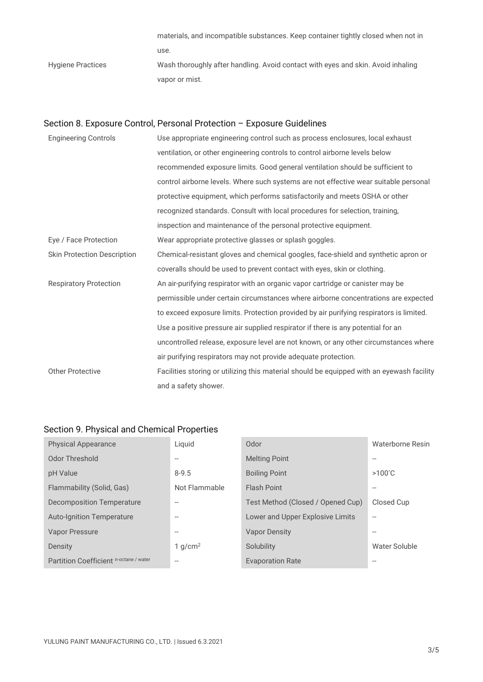materials, and incompatible substances. Keep container tightly closed when not in use. Hygiene Practices Wash thoroughly after handling. Avoid contact with eyes and skin. Avoid inhaling vapor or mist.

## Section 8. Exposure Control, Personal Protection – Exposure Guidelines

| <b>Engineering Controls</b>        | Use appropriate engineering control such as process enclosures, local exhaust             |
|------------------------------------|-------------------------------------------------------------------------------------------|
|                                    | ventilation, or other engineering controls to control airborne levels below               |
|                                    | recommended exposure limits. Good general ventilation should be sufficient to             |
|                                    | control airborne levels. Where such systems are not effective wear suitable personal      |
|                                    | protective equipment, which performs satisfactorily and meets OSHA or other               |
|                                    | recognized standards. Consult with local procedures for selection, training,              |
|                                    | inspection and maintenance of the personal protective equipment.                          |
| Eye / Face Protection              | Wear appropriate protective glasses or splash goggles.                                    |
| <b>Skin Protection Description</b> | Chemical-resistant gloves and chemical googles, face-shield and synthetic apron or        |
|                                    | coveralls should be used to prevent contact with eyes, skin or clothing.                  |
| <b>Respiratory Protection</b>      | An air-purifying respirator with an organic vapor cartridge or canister may be            |
|                                    | permissible under certain circumstances where airborne concentrations are expected        |
|                                    | to exceed exposure limits. Protection provided by air purifying respirators is limited.   |
|                                    | Use a positive pressure air supplied respirator if there is any potential for an          |
|                                    | uncontrolled release, exposure level are not known, or any other circumstances where      |
|                                    | air purifying respirators may not provide adequate protection.                            |
| <b>Other Protective</b>            | Facilities storing or utilizing this material should be equipped with an eyewash facility |
|                                    | and a safety shower.                                                                      |

#### Section 9. Physical and Chemical Properties

| <b>Physical Appearance</b>             | Liquid            | Odor                              | Waterborne Resin         |
|----------------------------------------|-------------------|-----------------------------------|--------------------------|
| Odor Threshold                         | --                | <b>Melting Point</b>              |                          |
| pH Value                               | $8 - 9.5$         | <b>Boiling Point</b>              | $>100^{\circ}$ C         |
| Flammability (Solid, Gas)              | Not Flammable     | <b>Flash Point</b>                |                          |
| Decomposition Temperature              | $\qquad \qquad -$ | Test Method (Closed / Opened Cup) | Closed Cup               |
| <b>Auto-Ignition Temperature</b>       | $-$               | Lower and Upper Explosive Limits  | $\overline{\phantom{a}}$ |
| Vapor Pressure                         | --                | <b>Vapor Density</b>              |                          |
| Density                                | 1 $q/cm^2$        | Solubility                        | Water Soluble            |
| Partition Coefficient n-octane / water | $-$               | <b>Evaporation Rate</b>           |                          |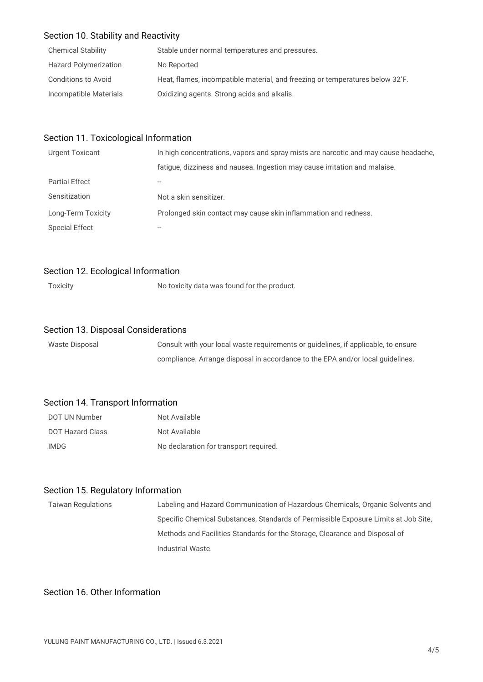#### Section 10. Stability and Reactivity

| <b>Chemical Stability</b>    | Stable under normal temperatures and pressures.                                            |
|------------------------------|--------------------------------------------------------------------------------------------|
| <b>Hazard Polymerization</b> | No Reported                                                                                |
| Conditions to Avoid          | Heat, flames, incompatible material, and freezing or temperatures below 32 <sup>°</sup> F. |
| Incompatible Materials       | Oxidizing agents. Strong acids and alkalis.                                                |

#### Section 11. Toxicological Information

| <b>Urgent Toxicant</b> | In high concentrations, vapors and spray mists are narcotic and may cause headache. |
|------------------------|-------------------------------------------------------------------------------------|
|                        | fatigue, dizziness and nausea. Ingestion may cause irritation and malaise.          |
| <b>Partial Effect</b>  |                                                                                     |
| Sensitization          | Not a skin sensitizer.                                                              |
| Long-Term Toxicity     | Prolonged skin contact may cause skin inflammation and redness.                     |
| <b>Special Effect</b>  |                                                                                     |

#### Section 12. Ecological Information

Toxicity Toxicity No toxicity data was found for the product.

#### Section 13. Disposal Considerations

| Waste Disposal | Consult with your local waste requirements or quidelines, if applicable, to ensure |
|----------------|------------------------------------------------------------------------------------|
|                | compliance. Arrange disposal in accordance to the EPA and/or local guidelines.     |

#### Section 14. Transport Information

| DOT UN Number    | Not Available                          |
|------------------|----------------------------------------|
| DOT Hazard Class | Not Available                          |
| IMDG.            | No declaration for transport required. |

#### Section 15. Regulatory Information

Taiwan Regulations Labeling and Hazard Communication of Hazardous Chemicals, Organic Solvents and Specific Chemical Substances, Standards of Permissible Exposure Limits at Job Site, Methods and Facilities Standards for the Storage, Clearance and Disposal of Industrial Waste.

#### Section 16. Other Information